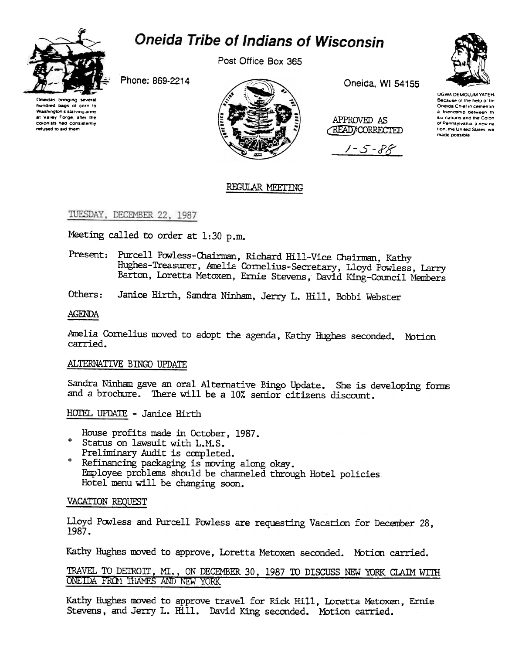

# **Oneida Tribe of Indians of Wisconsin**

Post Office Box 365

Phone: 869-2214



Oneida, WI 54155

APPROVED AS **READ/CORRECTED** 

1 - 5 - P.F



**UGWA DEMOLUM YATEH** Because of the help of the Oneida Chief in cementin a friendship between th six nations and the Colon of Pennsylvania, a new na tion, the United States, wa made possible

# REGULAR MEETING

TUESDAY, DECEMBER 22, 1987

Meeting called to order at 1:30 p.m.

Present: Purcell Powless-Chairman, Richard Hill-Vice Chairman, Kathy Hughes-Treasurer, Amelia Cornelius-Secretary, Lloyd Powless, Larry Barton, Loretta Metoxen, Ernie Stevens, David King-Council Members

Others: Janice Hirth, Sandra Ninham, Jerry L. Hill, Bobbi Webster

## **AGENDA**

Amelia Cornelius moved to adopt the agenda, Kathy Hughes seconded. Motion carried.

## ALTERNATIVE BINGO UPDATE

Sandra Ninham gave an oral Alternative Bingo Update. She is developing forms and a brochure. There will be a 10% senior citizens discount.

HOTEL UPDATE - Janice Hirth

House profits made in October, 1987.

- ° Status on lawsuit with L.M.S. Preliminary Audit is completed.
- Refinancing packaging is moving along okay. Employee problems should be channeled through Hotel policies Hotel menu will be changing soon.

## VACATION REQUEST

Lloyd Powless and Purcell Powless are requesting Vacation for December 28, 1987.

Kathy Hughes moved to approve, Loretta Metoxen seconded. Motion carried.

## TRAVEL TO DETROIT, MI., ON DECEMBER 30, 1987 TO DISCUSS NEW YORK CLAIM WITH ONEIDA FROM THAMES AND NEW YORK

Kathy Hughes moved to approve travel for Rick Hill, Loretta Metoxen, Ernie Stevens, and Jerry L. Hill. David King seconded. Motion carried.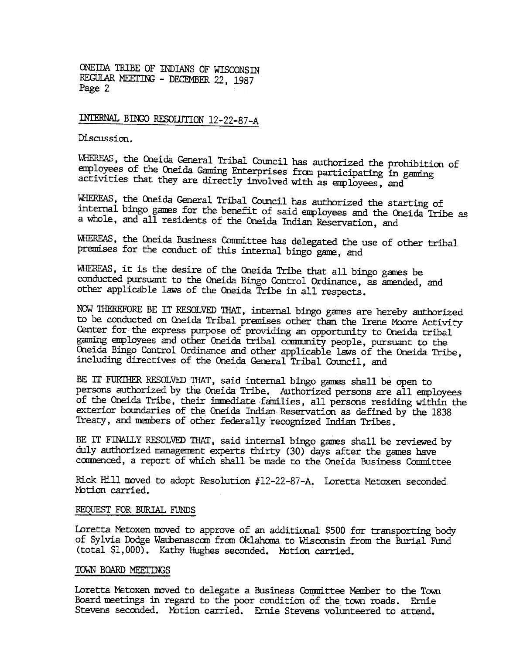ONEIDA TRIBE OF INDIANS OF WISCONSIN REGULAR MEETING - DECEMBER 22, 1987 Page 2

INTERNAL BINGO RESOLUTION 12-22-87-A

Discussion.

WHEREAS, the Oneida General Tribal Council has authorized the prohibition of employees of the Oneida Gaming Enterprises from participating in gaming activities that they are directly involved with as anployees, and

WHEREAS, the Oneida General Tribal Council has authorized the starting of internal bingo games for the benefit of said employees and the Oneida Tribe as a whole, and all residents of the Orieida Indian Reservation, and

WHEREAS, the Oneida Business Committee has delegated the use of other tribal premises for the conduct of this internal bingo gane, and

WHEREAS, it is the desire of the Oneida Tribe that all bingo games be conducted pursuant to the Oneida Bingo Control Ordinance, as amended, and other applicable laws of the Oneida Tribe in all respects.

NOW THEREFORE BE IT RESOLVED THAT, internal bingo games are hereby authorized to be conducted on Oneida Tribal premises other than the Irene Moore Activity Center for the express purpose of providing an opportunity to Oneida tribal gaming employees and other Oneida tribal community people, pursuant to the Oneida Bingo Control Ordinance and other applicable laws of the Oneida Tribe, including directives of the Oneida General Tribal Council, and

BE IT FUR1HER RESOLVED 1HAT, said internal bingo games shall be open to persons authorized by the Oneida Tribe. Authorized persons are all employees of the Oneida Tribe, their immediate families, all persons residing within the exterior boundaries of the Oneida Indian Reservation as defined by the 1838 Treaty, and nenbers of other federally recognized Indian Tribes.

BE IT FINALLY RESOLVED THAT, said internal bingo games shall be reviewed by duly authorized management experts thirty (30) days after the games have commenced, a report of which shall be made to the Oneida Business Committee

Rick Hill moved to adopt Resolution #12-22-87-A. Loretta Metoxen seconded Motion carried.

#### REQUEST FOR BURIAL FUNDS

Loretta Metoxen moved to approve of an additional \$500 for transporting body of Sylvia Dodge Waubenascom from Oklahoma to Wisconsin from the Burial Fund (total \$1,000). Kathy HUghes seconded. Mbtion carried.

## TOWN BOARD MEETINGS

Loretta Metoxen moved to delegate a Business Committee Member to the Town Board meetings in regard to the poor condition of the town roads. Ernie Stevens seconded. Motion carried. Ernie Stevens volunteered to attend.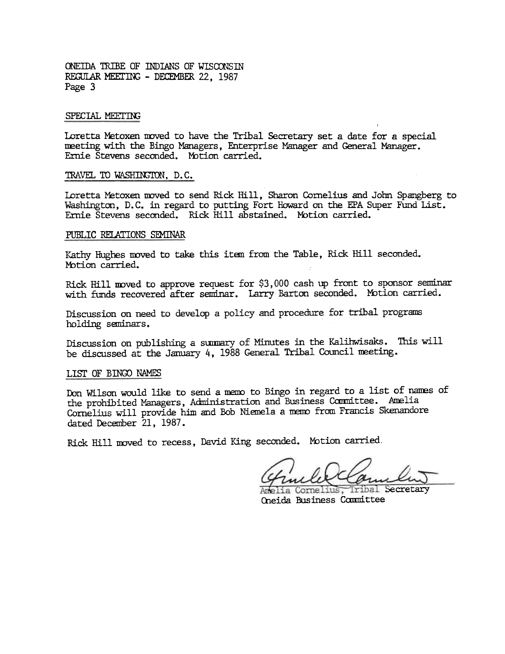ONEIDA TRIBE OF INDIANS OF WISCONSIN REGULAR MEETING - DECEMBER 22, 1987 Page 3

#### SPECIAL MEETING

Loretta Metoxen moved to have the Tribal Secretary set a date for a special meeting with the Bingo Managers, Enterprise Manager and General Manager. Ernie Stevens seconded. Mbtion carried.

## TRAVEL TO WASHINGTON, D.C.

Loretta Metoxen moved to send Rick Hill, Sharon Cornelius and John Spangberg to Washington, D.C. in regard to putting Fort Howard on the EPA Super Fund List. Ernie Stevens seconded. Rick Hill abstained. Motion carried.

#### PUBLIC RELATIONS SEMINAR

Kathy Hughes moved to take this item from the Table, Rick Hill seconded. Motion carried.

Rick Hill moved to approve request for  $$3,000$  cash up front to sponsor seminar with funds recovered after seminar. Larry Barton seconded. Motion carried.

Discussion on need to develop a policy and procedure for tribal programs holding seminars.

Discussion on publishing a summary of Minutes in the Kalihwisaks. This will be discussed at the January 4, 1988 General Tribal Council meeting.

#### LIST OF BINGO NAMES

Don Wilson would like to send a memo to Bingo in regard to a list of names of the prohibited Managers, Administration and Business Committee. Amelia Cornelius will provide him and Bob Niemela a memo from Francis Skenandore dated December 21, 1987.

Rick Hill moved to recess, David King seconded. Motion carried,

Tribal Secretary Oneida Business Committee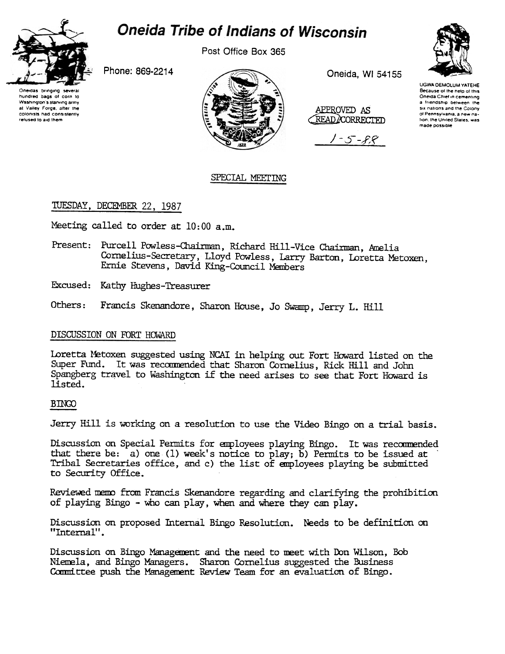

# **Oneida Tribe of Indians of Wisconsin**

Post Office Box 365



Oneidas brinding several hundred bags of corn to Washington's starving army at Valley Forge, after the colonists had consistently refused to aid them

Phone: 869-2214



Oneida, WI 54155

APPROVED AS READ/CORRECTED

 $1 - 5 - 88$ 

UGWA DEMOLLIM YATEHE Because of the nein of this Oneida Chief in cementing a friendship between the six nations and the Colony of Pennsylvania, a new nation, the United States, was made possible

# SPECIAL MEETING

# TUESDAY, DECEMBER 22, 1987

Meeting called to order at 10:00 a.m.

- Present: Purcell Powless-Chairman, Richard Hill-Vice Chairman, Amelia Cornelius-Secretary, Lloyd Powless, Larry Barton, Loretta Metoxen, Ernie Stevens, David King-Council Members
- Excused: Kathy Hughes-Treasurer
- Francis Skenandore, Sharon House, Jo Swamp, Jerry L. Hill Others:

# DISCUSSION ON FORT HOWARD

Loretta Metoxen suggested using NCAI in helping out Fort Howard listed on the Super Fund. It was recommended that Sharon Cornelius, Rick Hill and John Spangberg travel to Washington if the need arises to see that Fort Howard is listed.

# **BINGO**

Jerry Hill is working on a resolution to use the Video Bingo on a trial basis.

Discussion on Special Permits for employees playing Bingo. It was recommended that there be: a) one (1) week's notice to play; b) Permits to be issued at Tribal Secretaries office, and c) the list of employees playing be submitted to Security Office.

Reviewed memo from Francis Skenandore regarding and clarifying the prohibition of playing Bingo - who can play, when and where they can play.

Discussion on proposed Internal Bingo Resolution. Needs to be definition on "Internal".

Discussion on Bingo Management and the need to meet with Don Wilson, Bob Niemela, and Bingo Managers. Sharon Cornelius suggested the Business Committee push the Management Review Team for an evaluation of Bingo.